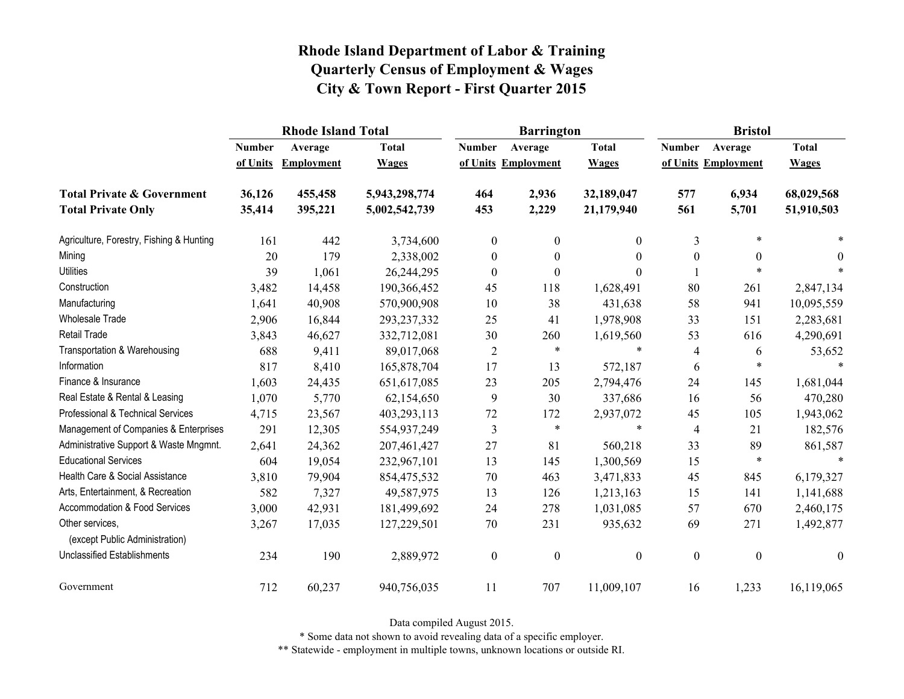|                                                   |               | <b>Rhode Island Total</b> |               |                  | <b>Barrington</b>   |                  | <b>Bristol</b>   |                     |                  |
|---------------------------------------------------|---------------|---------------------------|---------------|------------------|---------------------|------------------|------------------|---------------------|------------------|
|                                                   | <b>Number</b> | Average                   | <b>Total</b>  | <b>Number</b>    | Average             | <b>Total</b>     | <b>Number</b>    | Average             | <b>Total</b>     |
|                                                   | of Units      | <b>Employment</b>         | <b>Wages</b>  |                  | of Units Employment | <b>Wages</b>     |                  | of Units Employment | <b>Wages</b>     |
| <b>Total Private &amp; Government</b>             | 36,126        | 455,458                   | 5,943,298,774 | 464              | 2,936               | 32,189,047       | 577              | 6,934               | 68,029,568       |
| <b>Total Private Only</b>                         | 35,414        | 395,221                   | 5,002,542,739 | 453              | 2,229               | 21,179,940       | 561              | 5,701               | 51,910,503       |
| Agriculture, Forestry, Fishing & Hunting          | 161           | 442                       | 3,734,600     | $\boldsymbol{0}$ | $\boldsymbol{0}$    | 0                | 3                | $\ast$              |                  |
| Mining                                            | 20            | 179                       | 2,338,002     | $\boldsymbol{0}$ | $\boldsymbol{0}$    | 0                | $\boldsymbol{0}$ | $\theta$            | 0                |
| <b>Utilities</b>                                  | 39            | 1,061                     | 26,244,295    | $\theta$         | $\boldsymbol{0}$    | 0                |                  | $\ast$              |                  |
| Construction                                      | 3,482         | 14,458                    | 190,366,452   | 45               | 118                 | 1,628,491        | 80               | 261                 | 2,847,134        |
| Manufacturing                                     | 1,641         | 40,908                    | 570,900,908   | 10               | 38                  | 431,638          | 58               | 941                 | 10,095,559       |
| <b>Wholesale Trade</b>                            | 2,906         | 16,844                    | 293, 237, 332 | 25               | 41                  | 1,978,908        | 33               | 151                 | 2,283,681        |
| <b>Retail Trade</b>                               | 3,843         | 46,627                    | 332,712,081   | 30               | 260                 | 1,619,560        | 53               | 616                 | 4,290,691        |
| Transportation & Warehousing                      | 688           | 9,411                     | 89,017,068    | $\boldsymbol{2}$ | $\ast$              | $\ast$           | 4                | 6                   | 53,652           |
| Information                                       | 817           | 8,410                     | 165,878,704   | 17               | 13                  | 572,187          | 6                | $\ast$              | $\ast$           |
| Finance & Insurance                               | 1,603         | 24,435                    | 651, 617, 085 | 23               | 205                 | 2,794,476        | 24               | 145                 | 1,681,044        |
| Real Estate & Rental & Leasing                    | 1,070         | 5,770                     | 62,154,650    | 9                | 30                  | 337,686          | 16               | 56                  | 470,280          |
| Professional & Technical Services                 | 4,715         | 23,567                    | 403,293,113   | 72               | 172                 | 2,937,072        | 45               | 105                 | 1,943,062        |
| Management of Companies & Enterprises             | 291           | 12,305                    | 554,937,249   | 3                | $\ast$              | $\ast$           | $\overline{4}$   | 21                  | 182,576          |
| Administrative Support & Waste Mngmnt.            | 2,641         | 24,362                    | 207,461,427   | 27               | 81                  | 560,218          | 33               | 89                  | 861,587          |
| <b>Educational Services</b>                       | 604           | 19,054                    | 232,967,101   | 13               | 145                 | 1,300,569        | 15               | $\ast$              | $\ast$           |
| Health Care & Social Assistance                   | 3,810         | 79,904                    | 854,475,532   | 70               | 463                 | 3,471,833        | 45               | 845                 | 6,179,327        |
| Arts, Entertainment, & Recreation                 | 582           | 7,327                     | 49,587,975    | 13               | 126                 | 1,213,163        | 15               | 141                 | 1,141,688        |
| Accommodation & Food Services                     | 3,000         | 42,931                    | 181,499,692   | 24               | 278                 | 1,031,085        | 57               | 670                 | 2,460,175        |
| Other services,<br>(except Public Administration) | 3,267         | 17,035                    | 127,229,501   | 70               | 231                 | 935,632          | 69               | 271                 | 1,492,877        |
| <b>Unclassified Establishments</b>                | 234           | 190                       | 2,889,972     | $\boldsymbol{0}$ | $\boldsymbol{0}$    | $\boldsymbol{0}$ | $\boldsymbol{0}$ | $\boldsymbol{0}$    | $\boldsymbol{0}$ |
| Government                                        | 712           | 60,237                    | 940,756,035   | 11               | 707                 | 11,009,107       | 16               | 1,233               | 16,119,065       |

Data compiled August 2015.

\* Some data not shown to avoid revealing data of a specific employer.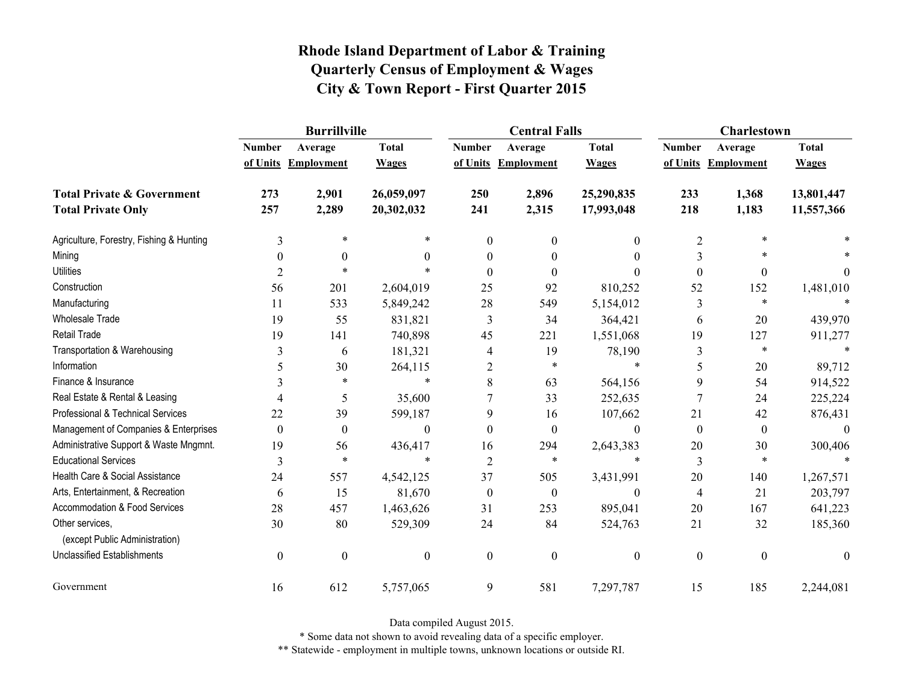|                                                   | <b>Burrillville</b> |                     |                  |                  | <b>Central Falls</b> |                  | <b>Charlestown</b> |                     |                |
|---------------------------------------------------|---------------------|---------------------|------------------|------------------|----------------------|------------------|--------------------|---------------------|----------------|
|                                                   | <b>Number</b>       | Average             | <b>Total</b>     | <b>Number</b>    | Average              | <b>Total</b>     | <b>Number</b>      | Average             | <b>Total</b>   |
|                                                   |                     | of Units Employment | <b>Wages</b>     |                  | of Units Employment  | <b>Wages</b>     |                    | of Units Employment | <b>Wages</b>   |
| <b>Total Private &amp; Government</b>             | 273                 | 2,901               | 26,059,097       | 250              | 2,896                | 25,290,835       | 233                | 1,368               | 13,801,447     |
| <b>Total Private Only</b>                         | 257                 | 2,289               | 20,302,032       | 241              | 2,315                | 17,993,048       | 218                | 1,183               | 11,557,366     |
| Agriculture, Forestry, Fishing & Hunting          | 3                   | $\ast$              | *                | $\mathbf{0}$     | $\theta$             | $\mathbf{0}$     | $\overline{2}$     | $\ast$              |                |
| Mining                                            | $\theta$            | $\theta$            | $\theta$         | 0                | $\theta$             | $\theta$         | 3                  | $\ast$              |                |
| <b>Utilities</b>                                  | $\overline{2}$      | $\ast$              | $\ast$           | $\theta$         | $\Omega$             | $\theta$         | $\boldsymbol{0}$   | $\boldsymbol{0}$    | $\overline{0}$ |
| Construction                                      | 56                  | 201                 | 2,604,019        | 25               | 92                   | 810,252          | 52                 | 152                 | 1,481,010      |
| Manufacturing                                     | 11                  | 533                 | 5,849,242        | 28               | 549                  | 5,154,012        | 3                  | $\ast$              |                |
| <b>Wholesale Trade</b>                            | 19                  | 55                  | 831,821          | 3                | 34                   | 364,421          | 6                  | 20                  | 439,970        |
| <b>Retail Trade</b>                               | 19                  | 141                 | 740,898          | 45               | 221                  | 1,551,068        | 19                 | 127                 | 911,277        |
| Transportation & Warehousing                      | 3                   | 6                   | 181,321          | 4                | 19                   | 78,190           | 3                  | $\ast$              |                |
| Information                                       | 5                   | 30                  | 264,115          | $\overline{2}$   | $\ast$               | $\ast$           | 5                  | $20\,$              | 89,712         |
| Finance & Insurance                               |                     | $\ast$              | $\ast$           | 8                | 63                   | 564,156          | 9                  | 54                  | 914,522        |
| Real Estate & Rental & Leasing                    | 4                   | 5                   | 35,600           |                  | 33                   | 252,635          | 7                  | 24                  | 225,224        |
| Professional & Technical Services                 | 22                  | 39                  | 599,187          | 9                | 16                   | 107,662          | 21                 | 42                  | 876,431        |
| Management of Companies & Enterprises             | $\theta$            | $\boldsymbol{0}$    | $\theta$         | $\Omega$         | $\theta$             | $\theta$         | $\boldsymbol{0}$   | $\mathbf{0}$        | $\Omega$       |
| Administrative Support & Waste Mngmnt.            | 19                  | 56                  | 436,417          | 16               | 294                  | 2,643,383        | 20                 | 30                  | 300,406        |
| <b>Educational Services</b>                       | 3                   | $\ast$              | $\ast$           | $\overline{2}$   | *                    | *                | 3                  | $\ast$              |                |
| Health Care & Social Assistance                   | 24                  | 557                 | 4,542,125        | 37               | 505                  | 3,431,991        | 20                 | 140                 | 1,267,571      |
| Arts, Entertainment, & Recreation                 | 6                   | 15                  | 81,670           | $\boldsymbol{0}$ | $\boldsymbol{0}$     | $\boldsymbol{0}$ | $\overline{4}$     | 21                  | 203,797        |
| Accommodation & Food Services                     | 28                  | 457                 | 1,463,626        | 31               | 253                  | 895,041          | 20                 | 167                 | 641,223        |
| Other services,<br>(except Public Administration) | 30                  | 80                  | 529,309          | 24               | 84                   | 524,763          | 21                 | 32                  | 185,360        |
| <b>Unclassified Establishments</b>                | $\boldsymbol{0}$    | $\boldsymbol{0}$    | $\boldsymbol{0}$ | $\boldsymbol{0}$ | $\mathbf{0}$         | $\boldsymbol{0}$ | $\boldsymbol{0}$   | $\boldsymbol{0}$    | $\mathbf{0}$   |
| Government                                        | 16                  | 612                 | 5,757,065        | 9                | 581                  | 7,297,787        | 15                 | 185                 | 2,244,081      |

Data compiled August 2015.

\* Some data not shown to avoid revealing data of a specific employer.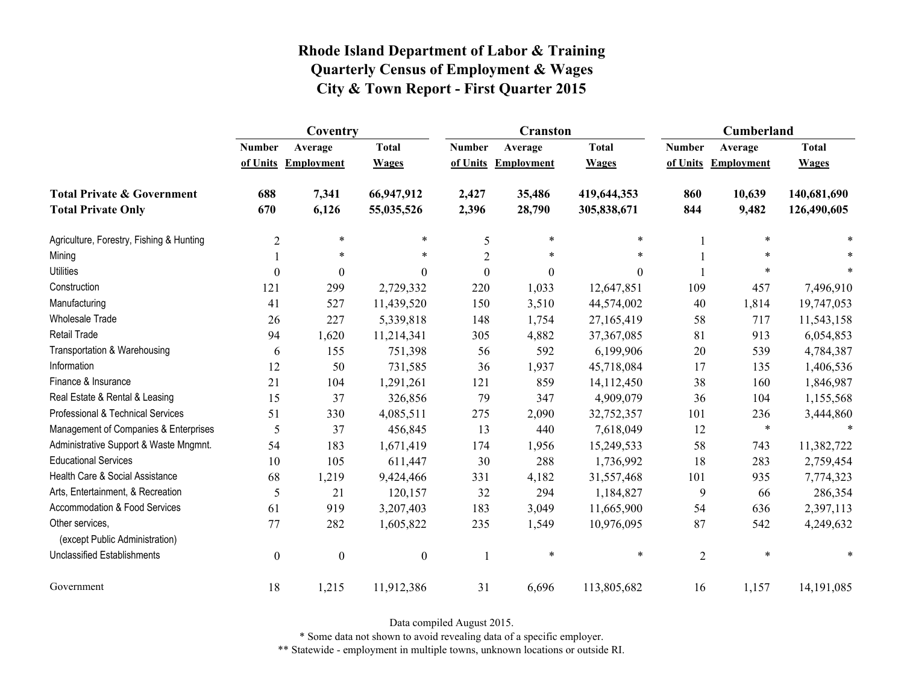|                                                   | Coventry         |                     |                  |                  | <b>Cranston</b>     |              | <b>Cumberland</b> |                     |              |
|---------------------------------------------------|------------------|---------------------|------------------|------------------|---------------------|--------------|-------------------|---------------------|--------------|
|                                                   | <b>Number</b>    | Average             | <b>Total</b>     | <b>Number</b>    | Average             | <b>Total</b> | <b>Number</b>     | Average             | <b>Total</b> |
|                                                   |                  | of Units Employment | <b>Wages</b>     |                  | of Units Employment | <b>Wages</b> |                   | of Units Employment | <b>Wages</b> |
| <b>Total Private &amp; Government</b>             | 688              | 7,341               | 66,947,912       | 2,427            | 35,486              | 419,644,353  | 860               | 10,639              | 140,681,690  |
| <b>Total Private Only</b>                         | 670              | 6,126               | 55,035,526       | 2,396            | 28,790              | 305,838,671  | 844               | 9,482               | 126,490,605  |
| Agriculture, Forestry, Fishing & Hunting          | $\overline{c}$   | $\ast$              | $\ast$           | 5                | $\ast$              | $\ast$       |                   | $\ast$              |              |
| Mining                                            |                  | $\ast$              | $\ast$           | $\overline{2}$   | $\ast$              | $\ast$       |                   | *                   |              |
| <b>Utilities</b>                                  | $\boldsymbol{0}$ | $\boldsymbol{0}$    | $\boldsymbol{0}$ | $\boldsymbol{0}$ | $\boldsymbol{0}$    | $\theta$     |                   | $\ast$              |              |
| Construction                                      | 121              | 299                 | 2,729,332        | 220              | 1,033               | 12,647,851   | 109               | 457                 | 7,496,910    |
| Manufacturing                                     | 41               | 527                 | 11,439,520       | 150              | 3,510               | 44,574,002   | 40                | 1,814               | 19,747,053   |
| Wholesale Trade                                   | 26               | 227                 | 5,339,818        | 148              | 1,754               | 27,165,419   | 58                | 717                 | 11,543,158   |
| <b>Retail Trade</b>                               | 94               | 1,620               | 11,214,341       | 305              | 4,882               | 37,367,085   | 81                | 913                 | 6,054,853    |
| Transportation & Warehousing                      | 6                | 155                 | 751,398          | 56               | 592                 | 6,199,906    | 20                | 539                 | 4,784,387    |
| Information                                       | 12               | 50                  | 731,585          | 36               | 1,937               | 45,718,084   | 17                | 135                 | 1,406,536    |
| Finance & Insurance                               | 21               | 104                 | 1,291,261        | 121              | 859                 | 14,112,450   | 38                | 160                 | 1,846,987    |
| Real Estate & Rental & Leasing                    | 15               | 37                  | 326,856          | 79               | 347                 | 4,909,079    | 36                | 104                 | 1,155,568    |
| Professional & Technical Services                 | 51               | 330                 | 4,085,511        | 275              | 2,090               | 32,752,357   | 101               | 236                 | 3,444,860    |
| Management of Companies & Enterprises             | 5                | 37                  | 456,845          | 13               | 440                 | 7,618,049    | 12                | $\ast$              | $\ast$       |
| Administrative Support & Waste Mngmnt.            | 54               | 183                 | 1,671,419        | 174              | 1,956               | 15,249,533   | 58                | 743                 | 11,382,722   |
| <b>Educational Services</b>                       | 10               | 105                 | 611,447          | 30               | 288                 | 1,736,992    | 18                | 283                 | 2,759,454    |
| Health Care & Social Assistance                   | 68               | 1,219               | 9,424,466        | 331              | 4,182               | 31,557,468   | 101               | 935                 | 7,774,323    |
| Arts, Entertainment, & Recreation                 | 5                | 21                  | 120,157          | 32               | 294                 | 1,184,827    | 9                 | 66                  | 286,354      |
| <b>Accommodation &amp; Food Services</b>          | 61               | 919                 | 3,207,403        | 183              | 3,049               | 11,665,900   | 54                | 636                 | 2,397,113    |
| Other services,<br>(except Public Administration) | 77               | 282                 | 1,605,822        | 235              | 1,549               | 10,976,095   | 87                | 542                 | 4,249,632    |
| <b>Unclassified Establishments</b>                | $\boldsymbol{0}$ | $\boldsymbol{0}$    | $\boldsymbol{0}$ | 1                | $\ast$              | $\ast$       | $\overline{2}$    | $\ast$              | *            |
| Government                                        | 18               | 1,215               | 11,912,386       | 31               | 6,696               | 113,805,682  | 16                | 1,157               | 14, 191, 085 |

Data compiled August 2015.

\* Some data not shown to avoid revealing data of a specific employer.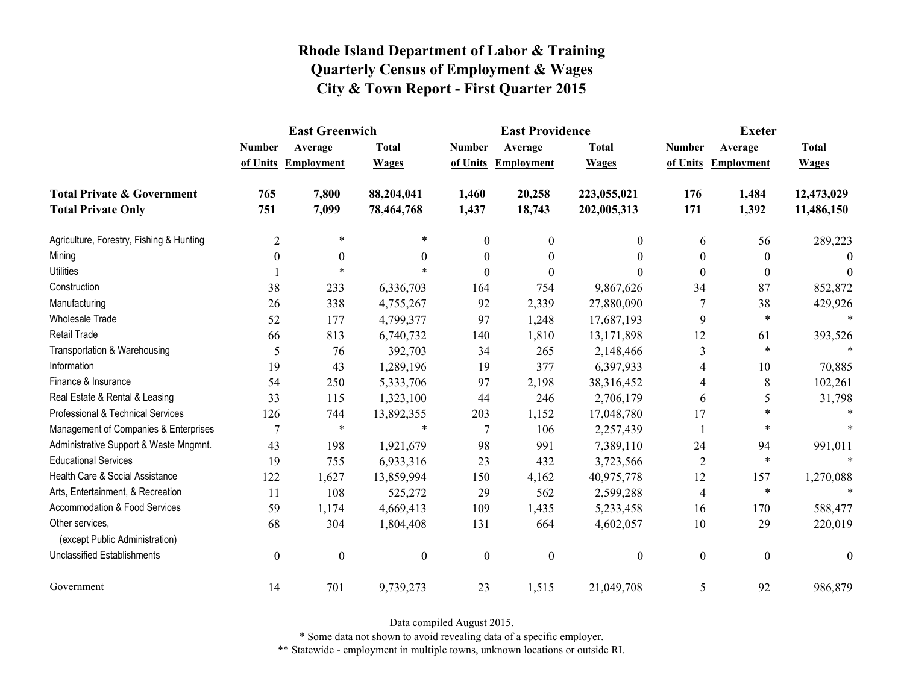|                                                   | <b>East Greenwich</b> |                     |                  |                  | <b>East Providence</b> |                  | <b>Exeter</b>    |                     |              |
|---------------------------------------------------|-----------------------|---------------------|------------------|------------------|------------------------|------------------|------------------|---------------------|--------------|
|                                                   | <b>Number</b>         | Average             | <b>Total</b>     | <b>Number</b>    | Average                | <b>Total</b>     | <b>Number</b>    | Average             | <b>Total</b> |
|                                                   |                       | of Units Employment | <b>Wages</b>     |                  | of Units Employment    | <b>Wages</b>     |                  | of Units Employment | <b>Wages</b> |
| <b>Total Private &amp; Government</b>             | 765                   | 7,800               | 88,204,041       | 1,460            | 20,258                 | 223,055,021      | 176              | 1,484               | 12,473,029   |
| <b>Total Private Only</b>                         | 751                   | 7,099               | 78,464,768       | 1,437            | 18,743                 | 202,005,313      | 171              | 1,392               | 11,486,150   |
| Agriculture, Forestry, Fishing & Hunting          | $\overline{2}$        | $\ast$              |                  | $\overline{0}$   | $\mathbf{0}$           | 0                | 6                | 56                  | 289,223      |
| Mining                                            | $\boldsymbol{0}$      | $\theta$            | $\Omega$         | $\theta$         | 0                      | $\Omega$         | $\boldsymbol{0}$ | $\theta$            | $\Omega$     |
| <b>Utilities</b>                                  |                       | $\ast$              |                  | $\theta$         | $\theta$               | 0                | $\boldsymbol{0}$ | $\theta$            | $\theta$     |
| Construction                                      | 38                    | 233                 | 6,336,703        | 164              | 754                    | 9,867,626        | 34               | 87                  | 852,872      |
| Manufacturing                                     | 26                    | 338                 | 4,755,267        | 92               | 2,339                  | 27,880,090       | 7                | 38                  | 429,926      |
| <b>Wholesale Trade</b>                            | 52                    | 177                 | 4,799,377        | 97               | 1,248                  | 17,687,193       | 9                | $\ast$              | $\ast$       |
| <b>Retail Trade</b>                               | 66                    | 813                 | 6,740,732        | 140              | 1,810                  | 13,171,898       | 12               | 61                  | 393,526      |
| Transportation & Warehousing                      | 5                     | 76                  | 392,703          | 34               | 265                    | 2,148,466        | $\mathfrak{Z}$   | $\ast$              |              |
| Information                                       | 19                    | 43                  | 1,289,196        | 19               | 377                    | 6,397,933        | 4                | 10                  | 70,885       |
| Finance & Insurance                               | 54                    | 250                 | 5,333,706        | 97               | 2,198                  | 38,316,452       | 4                | 8                   | 102,261      |
| Real Estate & Rental & Leasing                    | 33                    | 115                 | 1,323,100        | 44               | 246                    | 2,706,179        | 6                | 5                   | 31,798       |
| Professional & Technical Services                 | 126                   | 744                 | 13,892,355       | 203              | 1,152                  | 17,048,780       | 17               | $\ast$              |              |
| Management of Companies & Enterprises             | 7                     | $\ast$              | $\ast$           | 7                | 106                    | 2,257,439        |                  | $\ast$              |              |
| Administrative Support & Waste Mngmnt.            | 43                    | 198                 | 1,921,679        | 98               | 991                    | 7,389,110        | 24               | 94                  | 991,011      |
| <b>Educational Services</b>                       | 19                    | 755                 | 6,933,316        | 23               | 432                    | 3,723,566        | $\overline{2}$   | $\ast$              |              |
| Health Care & Social Assistance                   | 122                   | 1,627               | 13,859,994       | 150              | 4,162                  | 40,975,778       | 12               | 157                 | 1,270,088    |
| Arts, Entertainment, & Recreation                 | 11                    | 108                 | 525,272          | 29               | 562                    | 2,599,288        | $\overline{4}$   | $\ast$              | $\ast$       |
| <b>Accommodation &amp; Food Services</b>          | 59                    | 1,174               | 4,669,413        | 109              | 1,435                  | 5,233,458        | 16               | 170                 | 588,477      |
| Other services,<br>(except Public Administration) | 68                    | 304                 | 1,804,408        | 131              | 664                    | 4,602,057        | $10\,$           | 29                  | 220,019      |
| <b>Unclassified Establishments</b>                | $\boldsymbol{0}$      | $\boldsymbol{0}$    | $\boldsymbol{0}$ | $\boldsymbol{0}$ | $\boldsymbol{0}$       | $\boldsymbol{0}$ | $\boldsymbol{0}$ | $\boldsymbol{0}$    | $\theta$     |
| Government                                        | 14                    | 701                 | 9,739,273        | 23               | 1,515                  | 21,049,708       | 5                | 92                  | 986,879      |

Data compiled August 2015.

\* Some data not shown to avoid revealing data of a specific employer.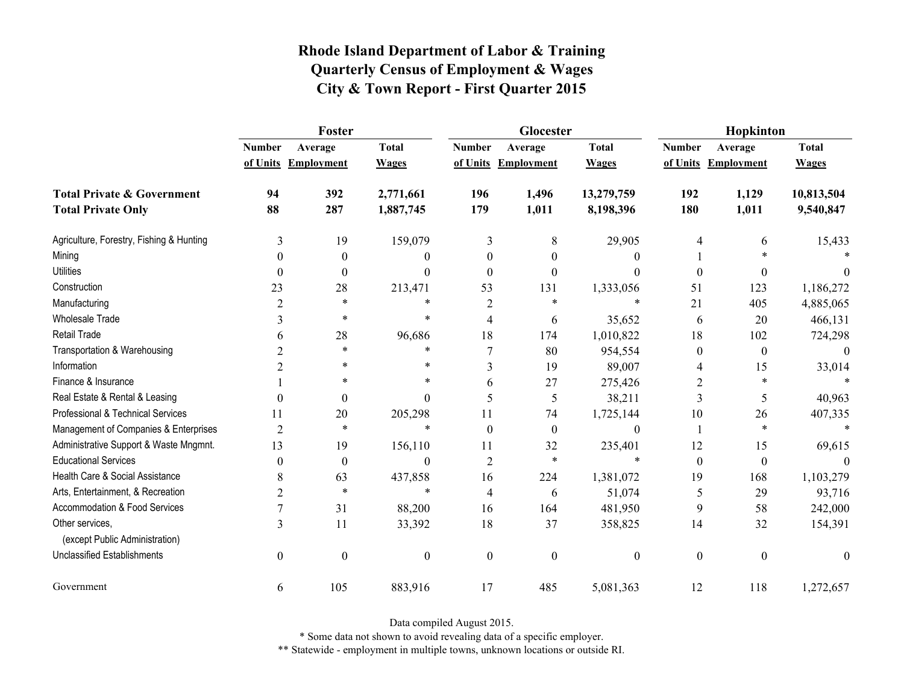|                                                   | Foster           |                     |                  |                  | Glocester           |                  | Hopkinton        |                     |                  |
|---------------------------------------------------|------------------|---------------------|------------------|------------------|---------------------|------------------|------------------|---------------------|------------------|
|                                                   | <b>Number</b>    | Average             | <b>Total</b>     | <b>Number</b>    | Average             | <b>Total</b>     | <b>Number</b>    | Average             | <b>Total</b>     |
|                                                   |                  | of Units Employment | <b>Wages</b>     |                  | of Units Employment | <b>Wages</b>     |                  | of Units Employment | <b>Wages</b>     |
| <b>Total Private &amp; Government</b>             | 94               | 392                 | 2,771,661        | 196              | 1,496               | 13,279,759       | 192              | 1,129               | 10,813,504       |
| <b>Total Private Only</b>                         | 88               | 287                 | 1,887,745        | 179              | 1,011               | 8,198,396        | 180              | 1,011               | 9,540,847        |
| Agriculture, Forestry, Fishing & Hunting          | 3                | 19                  | 159,079          | 3                | 8                   | 29,905           | 4                | 6                   | 15,433           |
| Mining                                            | $\theta$         | $\boldsymbol{0}$    | 0                | $\boldsymbol{0}$ | $\theta$            | $\boldsymbol{0}$ |                  |                     |                  |
| <b>Utilities</b>                                  | $\theta$         | $\boldsymbol{0}$    | $\Omega$         | $\Omega$         | $\theta$            | $\theta$         | $\mathbf{0}$     | $\boldsymbol{0}$    |                  |
| Construction                                      | 23               | 28                  | 213,471          | 53               | 131                 | 1,333,056        | 51               | 123                 | 1,186,272        |
| Manufacturing                                     | $\overline{2}$   | *                   | $\ast$           | $\overline{2}$   | $\ast$              | *                | 21               | 405                 | 4,885,065        |
| <b>Wholesale Trade</b>                            | 3                | *                   | $\ast$           | 4                | 6                   | 35,652           | 6                | 20                  | 466,131          |
| <b>Retail Trade</b>                               | 6                | 28                  | 96,686           | 18               | 174                 | 1,010,822        | 18               | 102                 | 724,298          |
| Transportation & Warehousing                      | $\overline{c}$   | $\ast$              | $\ast$           | $\overline{7}$   | 80                  | 954,554          | $\boldsymbol{0}$ | $\boldsymbol{0}$    | $\boldsymbol{0}$ |
| Information                                       | 2                | *                   | $\ast$           | 3                | 19                  | 89,007           | 4                | 15                  | 33,014           |
| Finance & Insurance                               |                  | $\ast$              | *                | 6                | 27                  | 275,426          | $\overline{2}$   | $\ast$              |                  |
| Real Estate & Rental & Leasing                    | $\theta$         | $\boldsymbol{0}$    | $\Omega$         | 5                | 5                   | 38,211           | 3                | 5                   | 40,963           |
| Professional & Technical Services                 | 11               | 20                  | 205,298          | 11               | 74                  | 1,725,144        | 10               | 26                  | 407,335          |
| Management of Companies & Enterprises             | $\overline{2}$   | $\ast$              | $\ast$           | $\theta$         | $\boldsymbol{0}$    | $\boldsymbol{0}$ | 1                | $\ast$              | $\ast$           |
| Administrative Support & Waste Mngmnt.            | 13               | 19                  | 156,110          | 11               | 32                  | 235,401          | 12               | 15                  | 69,615           |
| <b>Educational Services</b>                       | $\theta$         | $\boldsymbol{0}$    | $\Omega$         | $\overline{2}$   | $\ast$              | $\ast$           | $\boldsymbol{0}$ | $\boldsymbol{0}$    |                  |
| Health Care & Social Assistance                   | 8                | 63                  | 437,858          | 16               | 224                 | 1,381,072        | 19               | 168                 | 1,103,279        |
| Arts, Entertainment, & Recreation                 | $\overline{2}$   | $\ast$              | $\ast$           | 4                | 6                   | 51,074           | 5                | 29                  | 93,716           |
| Accommodation & Food Services                     |                  | 31                  | 88,200           | 16               | 164                 | 481,950          | 9                | 58                  | 242,000          |
| Other services,<br>(except Public Administration) | 3                | 11                  | 33,392           | 18               | 37                  | 358,825          | 14               | 32                  | 154,391          |
| <b>Unclassified Establishments</b>                | $\boldsymbol{0}$ | $\boldsymbol{0}$    | $\boldsymbol{0}$ | $\mathbf{0}$     | $\boldsymbol{0}$    | $\boldsymbol{0}$ | $\boldsymbol{0}$ | $\boldsymbol{0}$    | $\theta$         |
| Government                                        | 6                | 105                 | 883,916          | 17               | 485                 | 5,081,363        | 12               | 118                 | 1,272,657        |

Data compiled August 2015.

\* Some data not shown to avoid revealing data of a specific employer.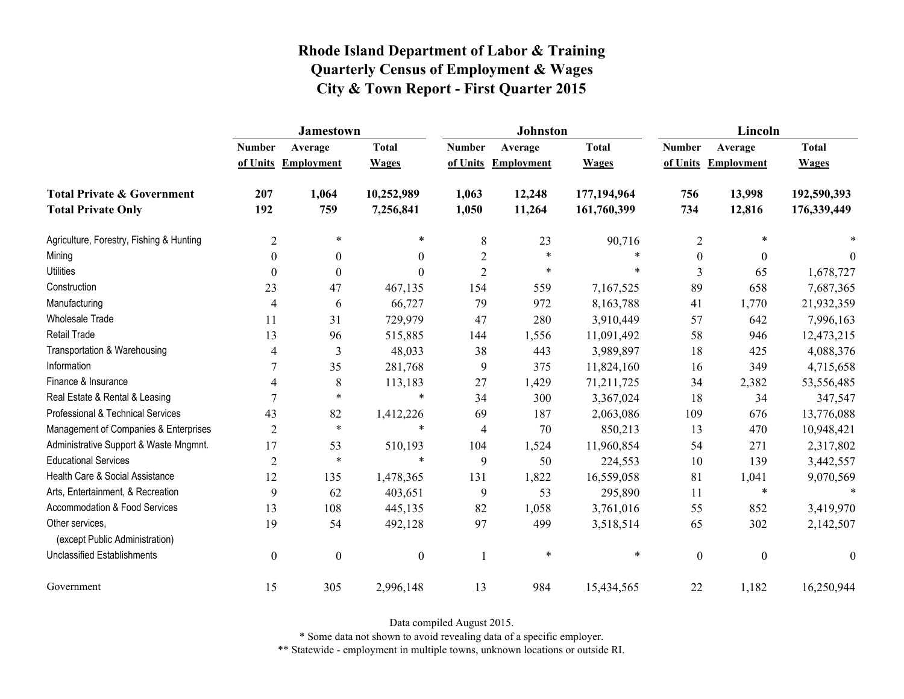|                                                   | <b>Jamestown</b> |                     |                  |                | Johnston          |              | Lincoln          |                   |                  |
|---------------------------------------------------|------------------|---------------------|------------------|----------------|-------------------|--------------|------------------|-------------------|------------------|
|                                                   | <b>Number</b>    | Average             | <b>Total</b>     | <b>Number</b>  | Average           | <b>Total</b> | <b>Number</b>    | Average           | <b>Total</b>     |
|                                                   |                  | of Units Employment | <b>Wages</b>     | of Units       | <b>Employment</b> | <b>Wages</b> | of Units         | <b>Employment</b> | <b>Wages</b>     |
| <b>Total Private &amp; Government</b>             | 207              | 1,064               | 10,252,989       | 1,063          | 12,248            | 177,194,964  | 756              | 13,998            | 192,590,393      |
| <b>Total Private Only</b>                         | 192              | 759                 | 7,256,841        | 1,050          | 11,264            | 161,760,399  | 734              | 12,816            | 176,339,449      |
| Agriculture, Forestry, Fishing & Hunting          | $\overline{c}$   | $\ast$              | *                | $8\,$          | 23                | 90,716       | $\overline{2}$   | $\ast$            |                  |
| Mining                                            | $\theta$         | $\theta$            | $\boldsymbol{0}$ | $\overline{2}$ | $\ast$            | $\ast$       | $\boldsymbol{0}$ | $\theta$          | $\Omega$         |
| <b>Utilities</b>                                  | $\theta$         | $\Omega$            | $\theta$         | $\overline{2}$ | *                 | $\ast$       | 3                | 65                | 1,678,727        |
| Construction                                      | 23               | 47                  | 467,135          | 154            | 559               | 7,167,525    | 89               | 658               | 7,687,365        |
| Manufacturing                                     | $\overline{4}$   | 6                   | 66,727           | 79             | 972               | 8,163,788    | 41               | 1,770             | 21,932,359       |
| Wholesale Trade                                   | 11               | 31                  | 729,979          | 47             | 280               | 3,910,449    | 57               | 642               | 7,996,163        |
| <b>Retail Trade</b>                               | 13               | 96                  | 515,885          | 144            | 1,556             | 11,091,492   | 58               | 946               | 12,473,215       |
| Transportation & Warehousing                      | 4                | $\mathfrak{Z}$      | 48,033           | 38             | 443               | 3,989,897    | 18               | 425               | 4,088,376        |
| Information                                       |                  | 35                  | 281,768          | 9              | 375               | 11,824,160   | 16               | 349               | 4,715,658        |
| Finance & Insurance                               | 4                | 8                   | 113,183          | 27             | 1,429             | 71,211,725   | 34               | 2,382             | 53,556,485       |
| Real Estate & Rental & Leasing                    |                  | $\ast$              | $\ast$           | 34             | 300               | 3,367,024    | 18               | 34                | 347,547          |
| Professional & Technical Services                 | 43               | 82                  | 1,412,226        | 69             | 187               | 2,063,086    | 109              | 676               | 13,776,088       |
| Management of Companies & Enterprises             | $\overline{2}$   | $\ast$              | $\ast$           | $\overline{4}$ | 70                | 850,213      | 13               | 470               | 10,948,421       |
| Administrative Support & Waste Mngmnt.            | 17               | 53                  | 510,193          | 104            | 1,524             | 11,960,854   | 54               | 271               | 2,317,802        |
| <b>Educational Services</b>                       | $\overline{2}$   | $\ast$              | $\ast$           | 9              | 50                | 224,553      | 10               | 139               | 3,442,557        |
| Health Care & Social Assistance                   | 12               | 135                 | 1,478,365        | 131            | 1,822             | 16,559,058   | 81               | 1,041             | 9,070,569        |
| Arts, Entertainment, & Recreation                 | 9                | 62                  | 403,651          | 9              | 53                | 295,890      | 11               | $\ast$            | $\ast$           |
| Accommodation & Food Services                     | 13               | 108                 | 445,135          | 82             | 1,058             | 3,761,016    | 55               | 852               | 3,419,970        |
| Other services,<br>(except Public Administration) | 19               | 54                  | 492,128          | 97             | 499               | 3,518,514    | 65               | 302               | 2,142,507        |
| <b>Unclassified Establishments</b>                | $\boldsymbol{0}$ | $\boldsymbol{0}$    | $\boldsymbol{0}$ |                | $\ast$            | $\ast$       | $\boldsymbol{0}$ | $\boldsymbol{0}$  | $\boldsymbol{0}$ |
| Government                                        | 15               | 305                 | 2,996,148        | 13             | 984               | 15,434,565   | 22               | 1,182             | 16,250,944       |

Data compiled August 2015.

\* Some data not shown to avoid revealing data of a specific employer.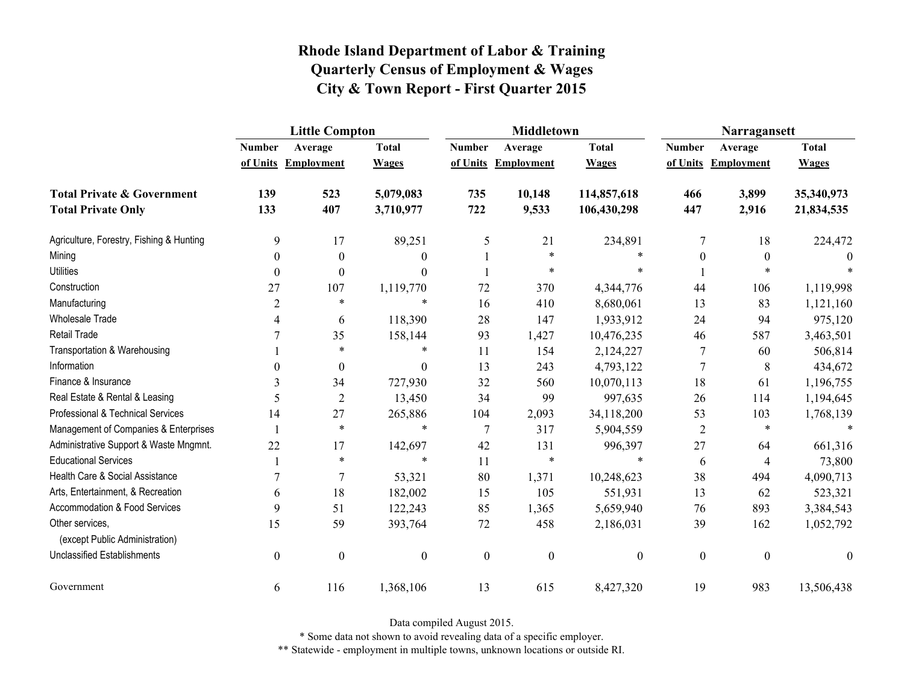|                                                   | <b>Little Compton</b> |                   |                  |                  | <b>Middletown</b>   |                  | Narragansett     |                     |              |
|---------------------------------------------------|-----------------------|-------------------|------------------|------------------|---------------------|------------------|------------------|---------------------|--------------|
|                                                   | <b>Number</b>         | Average           | <b>Total</b>     | <b>Number</b>    | Average             | <b>Total</b>     | <b>Number</b>    | Average             | <b>Total</b> |
|                                                   | of Units              | <b>Employment</b> | <b>Wages</b>     |                  | of Units Employment | <b>Wages</b>     |                  | of Units Employment | <b>Wages</b> |
| <b>Total Private &amp; Government</b>             | 139                   | 523               | 5,079,083        | 735              | 10,148              | 114,857,618      | 466              | 3,899               | 35,340,973   |
| <b>Total Private Only</b>                         | 133                   | 407               | 3,710,977        | 722              | 9,533               | 106,430,298      | 447              | 2,916               | 21,834,535   |
| Agriculture, Forestry, Fishing & Hunting          | 9                     | 17                | 89,251           | 5                | 21                  | 234,891          | 7                | 18                  | 224,472      |
| Mining                                            | $\boldsymbol{0}$      | $\boldsymbol{0}$  | $\theta$         |                  | $\ast$              |                  | $\boldsymbol{0}$ | $\theta$            | $\Omega$     |
| <b>Utilities</b>                                  | $\theta$              | $\theta$          | $\Omega$         |                  | $\ast$              |                  |                  |                     |              |
| Construction                                      | 27                    | 107               | 1,119,770        | 72               | 370                 | 4,344,776        | 44               | 106                 | 1,119,998    |
| Manufacturing                                     | $\overline{2}$        | $\ast$            | $\ast$           | 16               | 410                 | 8,680,061        | 13               | 83                  | 1,121,160    |
| <b>Wholesale Trade</b>                            | 4                     | 6                 | 118,390          | 28               | 147                 | 1,933,912        | 24               | 94                  | 975,120      |
| <b>Retail Trade</b>                               |                       | 35                | 158,144          | 93               | 1,427               | 10,476,235       | 46               | 587                 | 3,463,501    |
| Transportation & Warehousing                      |                       | $\ast$            | $\ast$           | 11               | 154                 | 2,124,227        | 7                | 60                  | 506,814      |
| Information                                       | 0                     | $\boldsymbol{0}$  | $\theta$         | 13               | 243                 | 4,793,122        | 7                | 8                   | 434,672      |
| Finance & Insurance                               | 3                     | 34                | 727,930          | 32               | 560                 | 10,070,113       | 18               | 61                  | 1,196,755    |
| Real Estate & Rental & Leasing                    | 5                     | $\overline{c}$    | 13,450           | 34               | 99                  | 997,635          | 26               | 114                 | 1,194,645    |
| Professional & Technical Services                 | 14                    | 27                | 265,886          | 104              | 2,093               | 34,118,200       | 53               | 103                 | 1,768,139    |
| Management of Companies & Enterprises             |                       | $\ast$            | $\ast$           | $\overline{7}$   | 317                 | 5,904,559        | $\overline{2}$   | $\ast$              |              |
| Administrative Support & Waste Mngmnt.            | 22                    | 17                | 142,697          | 42               | 131                 | 996,397          | 27               | 64                  | 661,316      |
| <b>Educational Services</b>                       |                       | $\ast$            | $\ast$           | 11               | $\ast$              | $\ast$           | 6                | 4                   | 73,800       |
| Health Care & Social Assistance                   | 7                     | 7                 | 53,321           | 80               | 1,371               | 10,248,623       | 38               | 494                 | 4,090,713    |
| Arts, Entertainment, & Recreation                 | 6                     | 18                | 182,002          | 15               | 105                 | 551,931          | 13               | 62                  | 523,321      |
| <b>Accommodation &amp; Food Services</b>          | 9                     | 51                | 122,243          | 85               | 1,365               | 5,659,940        | 76               | 893                 | 3,384,543    |
| Other services,<br>(except Public Administration) | 15                    | 59                | 393,764          | 72               | 458                 | 2,186,031        | 39               | 162                 | 1,052,792    |
| <b>Unclassified Establishments</b>                | $\boldsymbol{0}$      | $\boldsymbol{0}$  | $\boldsymbol{0}$ | $\boldsymbol{0}$ | $\boldsymbol{0}$    | $\boldsymbol{0}$ | $\boldsymbol{0}$ | $\boldsymbol{0}$    | $\theta$     |
| Government                                        | 6                     | 116               | 1,368,106        | 13               | 615                 | 8,427,320        | 19               | 983                 | 13,506,438   |

Data compiled August 2015.

\* Some data not shown to avoid revealing data of a specific employer.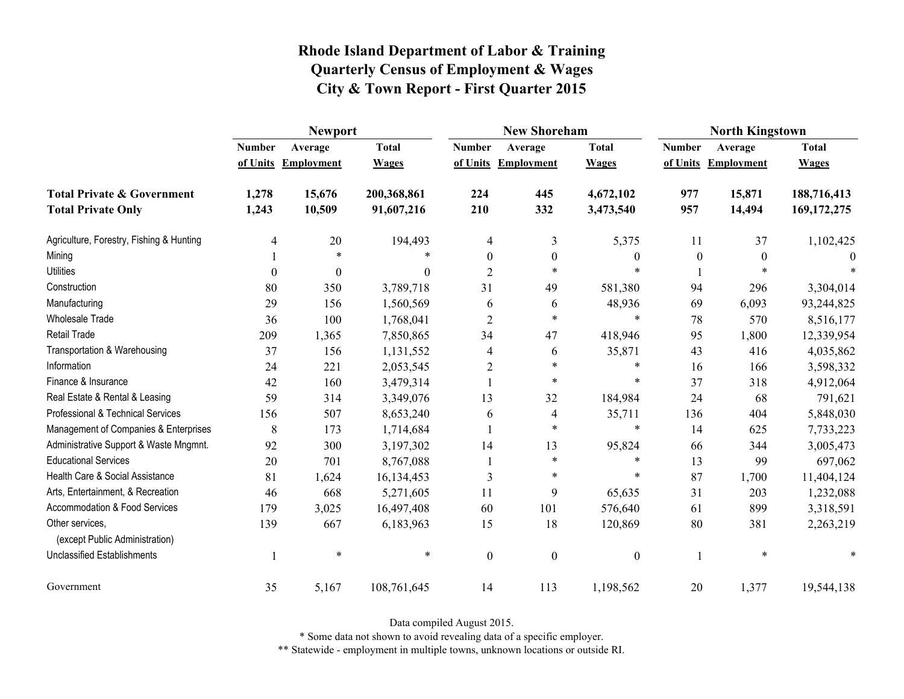|                                                   | <b>Newport</b> |                     |              |                  | <b>New Shoreham</b> |                  | <b>North Kingstown</b> |                     |               |
|---------------------------------------------------|----------------|---------------------|--------------|------------------|---------------------|------------------|------------------------|---------------------|---------------|
|                                                   | <b>Number</b>  | Average             | <b>Total</b> | <b>Number</b>    | Average             | <b>Total</b>     | <b>Number</b>          | Average             | <b>Total</b>  |
|                                                   |                | of Units Employment | <b>Wages</b> |                  | of Units Employment | <b>Wages</b>     |                        | of Units Employment | <b>Wages</b>  |
| <b>Total Private &amp; Government</b>             | 1,278          | 15,676              | 200,368,861  | 224              | 445                 | 4,672,102        | 977                    | 15,871              | 188,716,413   |
| <b>Total Private Only</b>                         | 1,243          | 10,509              | 91,607,216   | 210              | 332                 | 3,473,540        | 957                    | 14,494              | 169, 172, 275 |
| Agriculture, Forestry, Fishing & Hunting          | 4              | $20\,$              | 194,493      | 4                | 3                   | 5,375            | 11                     | 37                  | 1,102,425     |
| Mining                                            |                | $\ast$              | $\ast$       | $\boldsymbol{0}$ | $\boldsymbol{0}$    | $\boldsymbol{0}$ | $\boldsymbol{0}$       | $\boldsymbol{0}$    |               |
| <b>Utilities</b>                                  | $\theta$       | $\theta$            | $\theta$     | $\overline{2}$   | $\ast$              | $\ast$           |                        | $\ast$              |               |
| Construction                                      | 80             | 350                 | 3,789,718    | 31               | 49                  | 581,380          | 94                     | 296                 | 3,304,014     |
| Manufacturing                                     | 29             | 156                 | 1,560,569    | 6                | 6                   | 48,936           | 69                     | 6,093               | 93,244,825    |
| <b>Wholesale Trade</b>                            | 36             | 100                 | 1,768,041    | $\overline{2}$   | $\ast$              | $\ast$           | 78                     | 570                 | 8,516,177     |
| Retail Trade                                      | 209            | 1,365               | 7,850,865    | 34               | 47                  | 418,946          | 95                     | 1,800               | 12,339,954    |
| Transportation & Warehousing                      | 37             | 156                 | 1,131,552    | 4                | 6                   | 35,871           | 43                     | 416                 | 4,035,862     |
| Information                                       | 24             | 221                 | 2,053,545    | $\overline{2}$   | $\ast$              | $\ast$           | 16                     | 166                 | 3,598,332     |
| Finance & Insurance                               | 42             | 160                 | 3,479,314    |                  | $\ast$              | *                | 37                     | 318                 | 4,912,064     |
| Real Estate & Rental & Leasing                    | 59             | 314                 | 3,349,076    | 13               | 32                  | 184,984          | 24                     | 68                  | 791,621       |
| Professional & Technical Services                 | 156            | 507                 | 8,653,240    | 6                | $\overline{4}$      | 35,711           | 136                    | 404                 | 5,848,030     |
| Management of Companies & Enterprises             | 8              | 173                 | 1,714,684    | $\mathbf{1}$     | $\ast$              | $\ast$           | 14                     | 625                 | 7,733,223     |
| Administrative Support & Waste Mngmnt.            | 92             | 300                 | 3,197,302    | 14               | 13                  | 95,824           | 66                     | 344                 | 3,005,473     |
| <b>Educational Services</b>                       | 20             | 701                 | 8,767,088    |                  | $\ast$              | $\ast$           | 13                     | 99                  | 697,062       |
| Health Care & Social Assistance                   | 81             | 1,624               | 16,134,453   | 3                | $\ast$              | $\ast$           | 87                     | 1,700               | 11,404,124    |
| Arts, Entertainment, & Recreation                 | 46             | 668                 | 5,271,605    | 11               | 9                   | 65,635           | 31                     | 203                 | 1,232,088     |
| <b>Accommodation &amp; Food Services</b>          | 179            | 3,025               | 16,497,408   | 60               | 101                 | 576,640          | 61                     | 899                 | 3,318,591     |
| Other services,<br>(except Public Administration) | 139            | 667                 | 6,183,963    | 15               | 18                  | 120,869          | 80                     | 381                 | 2,263,219     |
| <b>Unclassified Establishments</b>                |                | $\ast$              | $\ast$       | $\boldsymbol{0}$ | $\boldsymbol{0}$    | $\boldsymbol{0}$ |                        | $\ast$              | $\ast$        |
| Government                                        | 35             | 5,167               | 108,761,645  | 14               | 113                 | 1,198,562        | 20                     | 1,377               | 19,544,138    |

Data compiled August 2015.

\* Some data not shown to avoid revealing data of a specific employer.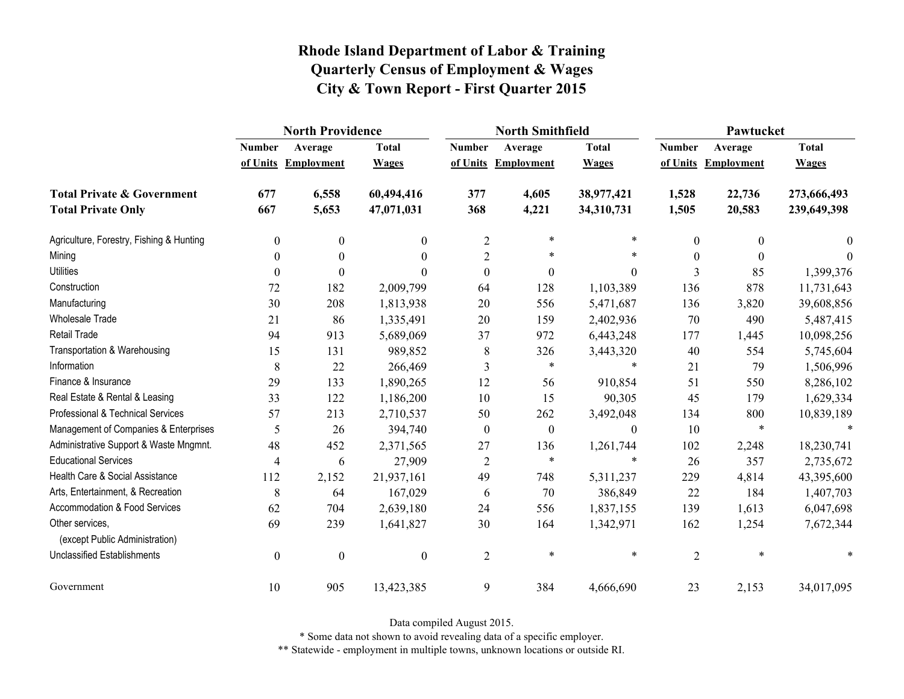|                                                   | <b>North Providence</b> |                     |                  |                  | <b>North Smithfield</b> |                  | Pawtucket      |                     |              |
|---------------------------------------------------|-------------------------|---------------------|------------------|------------------|-------------------------|------------------|----------------|---------------------|--------------|
|                                                   | <b>Number</b>           | Average             | <b>Total</b>     | <b>Number</b>    | Average                 | <b>Total</b>     | <b>Number</b>  | Average             | <b>Total</b> |
|                                                   |                         | of Units Employment | <b>Wages</b>     |                  | of Units Employment     | <b>Wages</b>     |                | of Units Employment | <b>Wages</b> |
| <b>Total Private &amp; Government</b>             | 677                     | 6,558               | 60,494,416       | 377              | 4,605                   | 38,977,421       | 1,528          | 22,736              | 273,666,493  |
| <b>Total Private Only</b>                         | 667                     | 5,653               | 47,071,031       | 368              | 4,221                   | 34,310,731       | 1,505          | 20,583              | 239,649,398  |
| Agriculture, Forestry, Fishing & Hunting          | $\boldsymbol{0}$        | 0                   | $\mathbf{0}$     | $\overline{2}$   | $\ast$                  | *                | $\theta$       | $\boldsymbol{0}$    | $\bf{0}$     |
| Mining                                            | $\boldsymbol{0}$        | $\theta$            | $\theta$         | $\overline{c}$   | $\ast$                  | $\ast$           | $\theta$       | $\theta$            | $\Omega$     |
| <b>Utilities</b>                                  | $\theta$                | $\Omega$            | 0                | $\boldsymbol{0}$ | $\boldsymbol{0}$        | $\theta$         | 3              | 85                  | 1,399,376    |
| Construction                                      | 72                      | 182                 | 2,009,799        | 64               | 128                     | 1,103,389        | 136            | 878                 | 11,731,643   |
| Manufacturing                                     | 30                      | 208                 | 1,813,938        | 20               | 556                     | 5,471,687        | 136            | 3,820               | 39,608,856   |
| <b>Wholesale Trade</b>                            | 21                      | 86                  | 1,335,491        | 20               | 159                     | 2,402,936        | 70             | 490                 | 5,487,415    |
| <b>Retail Trade</b>                               | 94                      | 913                 | 5,689,069        | 37               | 972                     | 6,443,248        | 177            | 1,445               | 10,098,256   |
| Transportation & Warehousing                      | 15                      | 131                 | 989,852          | 8                | 326                     | 3,443,320        | 40             | 554                 | 5,745,604    |
| Information                                       | 8                       | 22                  | 266,469          | 3                | $\ast$                  | *                | 21             | 79                  | 1,506,996    |
| Finance & Insurance                               | 29                      | 133                 | 1,890,265        | 12               | 56                      | 910,854          | 51             | 550                 | 8,286,102    |
| Real Estate & Rental & Leasing                    | 33                      | 122                 | 1,186,200        | 10               | 15                      | 90,305           | 45             | 179                 | 1,629,334    |
| Professional & Technical Services                 | 57                      | 213                 | 2,710,537        | 50               | 262                     | 3,492,048        | 134            | 800                 | 10,839,189   |
| Management of Companies & Enterprises             | 5                       | 26                  | 394,740          | $\boldsymbol{0}$ | $\boldsymbol{0}$        | $\boldsymbol{0}$ | 10             | $\ast$              | $\ast$       |
| Administrative Support & Waste Mngmnt.            | 48                      | 452                 | 2,371,565        | 27               | 136                     | 1,261,744        | 102            | 2,248               | 18,230,741   |
| <b>Educational Services</b>                       | $\overline{4}$          | 6                   | 27,909           | $\overline{2}$   | $\ast$                  | $\ast$           | 26             | 357                 | 2,735,672    |
| Health Care & Social Assistance                   | 112                     | 2,152               | 21,937,161       | 49               | 748                     | 5,311,237        | 229            | 4,814               | 43,395,600   |
| Arts, Entertainment, & Recreation                 | 8                       | 64                  | 167,029          | 6                | 70                      | 386,849          | 22             | 184                 | 1,407,703    |
| Accommodation & Food Services                     | 62                      | 704                 | 2,639,180        | 24               | 556                     | 1,837,155        | 139            | 1,613               | 6,047,698    |
| Other services,<br>(except Public Administration) | 69                      | 239                 | 1,641,827        | 30               | 164                     | 1,342,971        | 162            | 1,254               | 7,672,344    |
| <b>Unclassified Establishments</b>                | $\boldsymbol{0}$        | $\boldsymbol{0}$    | $\boldsymbol{0}$ | $\overline{2}$   | $\ast$                  | $\ast$           | $\overline{2}$ | $\ast$              |              |
| Government                                        | 10                      | 905                 | 13,423,385       | 9                | 384                     | 4,666,690        | 23             | 2,153               | 34,017,095   |

Data compiled August 2015.

\* Some data not shown to avoid revealing data of a specific employer.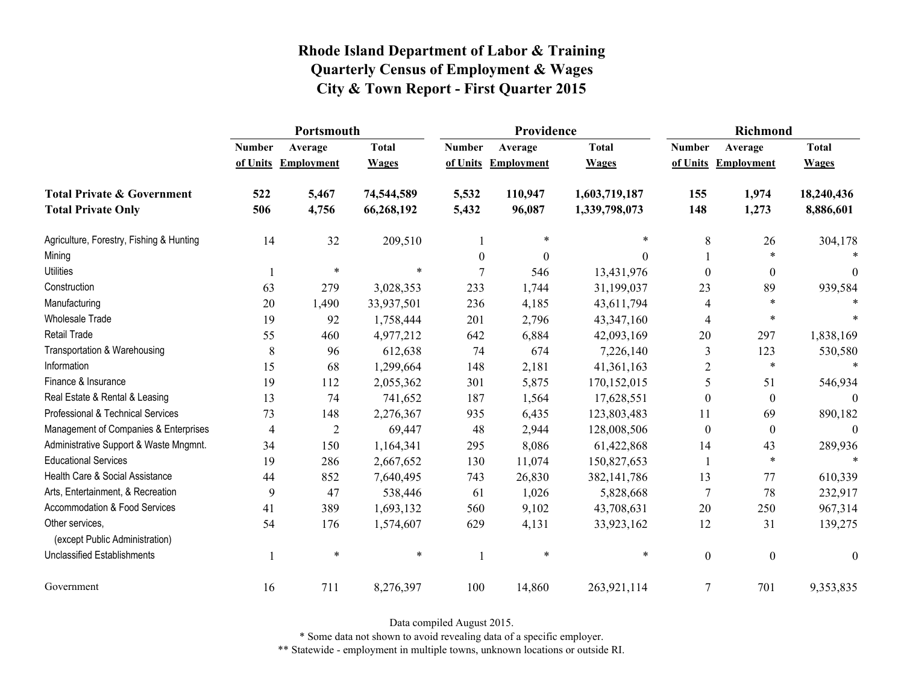|                                                   | Portsmouth    |                     |              |                  | Providence          |               | <b>Richmond</b>  |                     |                  |
|---------------------------------------------------|---------------|---------------------|--------------|------------------|---------------------|---------------|------------------|---------------------|------------------|
|                                                   | <b>Number</b> | Average             | <b>Total</b> | <b>Number</b>    | Average             | <b>Total</b>  | <b>Number</b>    | Average             | <b>Total</b>     |
|                                                   |               | of Units Employment | <b>Wages</b> |                  | of Units Employment | <b>Wages</b>  |                  | of Units Employment | <b>Wages</b>     |
| <b>Total Private &amp; Government</b>             | 522           | 5,467               | 74,544,589   | 5,532            | 110,947             | 1,603,719,187 | 155              | 1,974               | 18,240,436       |
| <b>Total Private Only</b>                         | 506           | 4,756               | 66,268,192   | 5,432            | 96,087              | 1,339,798,073 | 148              | 1,273               | 8,886,601        |
| Agriculture, Forestry, Fishing & Hunting          | 14            | 32                  | 209,510      |                  | $\ast$              | $\ast$        | 8                | 26                  | 304,178          |
| Mining                                            |               |                     |              | $\boldsymbol{0}$ | $\boldsymbol{0}$    | $\Omega$      |                  | $\ast$              |                  |
| <b>Utilities</b>                                  |               | $\ast$              | $\ast$       | 7                | 546                 | 13,431,976    | $\theta$         | $\mathbf{0}$        | $\Omega$         |
| Construction                                      | 63            | 279                 | 3,028,353    | 233              | 1,744               | 31,199,037    | 23               | 89                  | 939,584          |
| Manufacturing                                     | 20            | 1,490               | 33,937,501   | 236              | 4,185               | 43,611,794    | $\Delta$         | $\ast$              | $\ast$           |
| <b>Wholesale Trade</b>                            | 19            | 92                  | 1,758,444    | 201              | 2,796               | 43,347,160    | $\overline{4}$   | $\ast$              |                  |
| <b>Retail Trade</b>                               | 55            | 460                 | 4,977,212    | 642              | 6,884               | 42,093,169    | 20               | 297                 | 1,838,169        |
| Transportation & Warehousing                      | $8\,$         | 96                  | 612,638      | 74               | 674                 | 7,226,140     | 3                | 123                 | 530,580          |
| Information                                       | 15            | 68                  | 1,299,664    | 148              | 2,181               | 41,361,163    | $\overline{2}$   | $\ast$              | $\ast$           |
| Finance & Insurance                               | 19            | 112                 | 2,055,362    | 301              | 5,875               | 170,152,015   | 5                | 51                  | 546,934          |
| Real Estate & Rental & Leasing                    | 13            | 74                  | 741,652      | 187              | 1,564               | 17,628,551    | $\theta$         | $\mathbf{0}$        |                  |
| Professional & Technical Services                 | 73            | 148                 | 2,276,367    | 935              | 6,435               | 123,803,483   | 11               | 69                  | 890,182          |
| Management of Companies & Enterprises             | 4             | $\overline{c}$      | 69,447       | 48               | 2,944               | 128,008,506   | $\theta$         | $\mathbf{0}$        | $\theta$         |
| Administrative Support & Waste Mngmnt.            | 34            | 150                 | 1,164,341    | 295              | 8,086               | 61,422,868    | 14               | 43                  | 289,936          |
| <b>Educational Services</b>                       | 19            | 286                 | 2,667,652    | 130              | 11,074              | 150,827,653   |                  | $\ast$              | $\ast$           |
| Health Care & Social Assistance                   | 44            | 852                 | 7,640,495    | 743              | 26,830              | 382, 141, 786 | 13               | 77                  | 610,339          |
| Arts, Entertainment, & Recreation                 | 9             | 47                  | 538,446      | 61               | 1,026               | 5,828,668     | $\overline{7}$   | 78                  | 232,917          |
| Accommodation & Food Services                     | 41            | 389                 | 1,693,132    | 560              | 9,102               | 43,708,631    | 20               | 250                 | 967,314          |
| Other services,<br>(except Public Administration) | 54            | 176                 | 1,574,607    | 629              | 4,131               | 33,923,162    | 12               | 31                  | 139,275          |
| <b>Unclassified Establishments</b>                |               | $\ast$              | $\ast$       |                  | $\ast$              | $\ast$        | $\boldsymbol{0}$ | $\boldsymbol{0}$    | $\boldsymbol{0}$ |
| Government                                        | 16            | 711                 | 8,276,397    | 100              | 14,860              | 263,921,114   | $\overline{7}$   | 701                 | 9,353,835        |

Data compiled August 2015.

\* Some data not shown to avoid revealing data of a specific employer.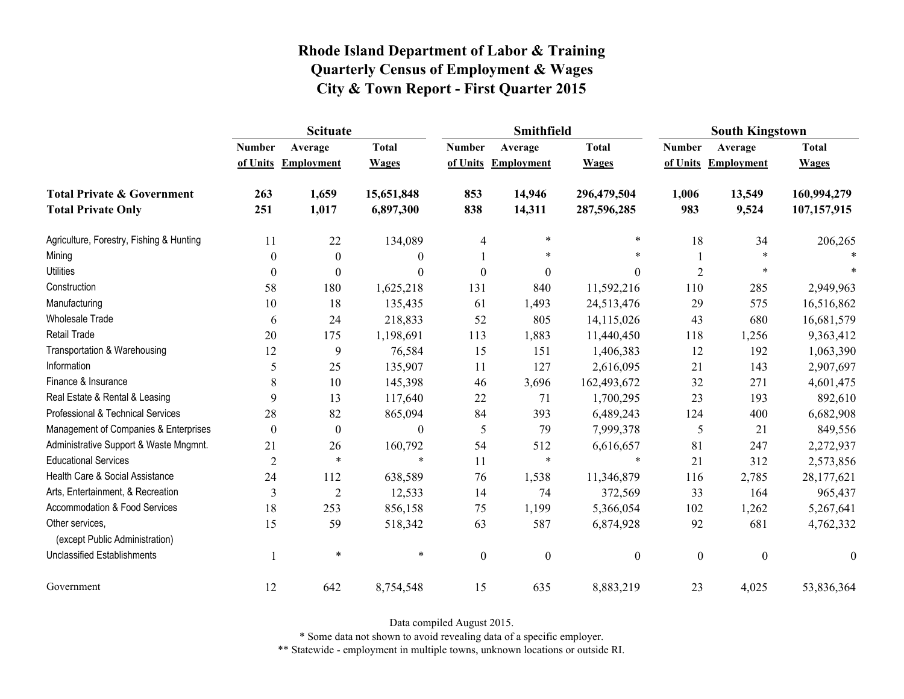|                                                   | <b>Scituate</b> |                     |                  |                  | <b>Smithfield</b> |                  | <b>South Kingstown</b> |                     |                  |
|---------------------------------------------------|-----------------|---------------------|------------------|------------------|-------------------|------------------|------------------------|---------------------|------------------|
|                                                   | <b>Number</b>   | Average             | <b>Total</b>     | <b>Number</b>    | Average           | <b>Total</b>     | <b>Number</b>          | Average             | <b>Total</b>     |
|                                                   |                 | of Units Employment | <b>Wages</b>     | of Units         | <b>Employment</b> | <b>Wages</b>     |                        | of Units Employment | <b>Wages</b>     |
| <b>Total Private &amp; Government</b>             | 263             | 1,659               | 15,651,848       | 853              | 14,946            | 296,479,504      | 1,006                  | 13,549              | 160,994,279      |
| <b>Total Private Only</b>                         | 251             | 1,017               | 6,897,300        | 838              | 14,311            | 287,596,285      | 983                    | 9,524               | 107,157,915      |
| Agriculture, Forestry, Fishing & Hunting          | 11              | 22                  | 134,089          | 4                | *                 | $\ast$           | 18                     | 34                  | 206,265          |
| Mining                                            | $\theta$        | $\boldsymbol{0}$    | $\boldsymbol{0}$ |                  | $\ast$            | $\ast$           |                        |                     |                  |
| <b>Utilities</b>                                  | $\theta$        | $\theta$            | $\boldsymbol{0}$ | $\mathbf{0}$     | $\theta$          | $\boldsymbol{0}$ | $\overline{2}$         | *                   |                  |
| Construction                                      | 58              | 180                 | 1,625,218        | 131              | 840               | 11,592,216       | 110                    | 285                 | 2,949,963        |
| Manufacturing                                     | 10              | 18                  | 135,435          | 61               | 1,493             | 24,513,476       | 29                     | 575                 | 16,516,862       |
| <b>Wholesale Trade</b>                            | 6               | 24                  | 218,833          | 52               | 805               | 14,115,026       | 43                     | 680                 | 16,681,579       |
| Retail Trade                                      | 20              | 175                 | 1,198,691        | 113              | 1,883             | 11,440,450       | 118                    | 1,256               | 9,363,412        |
| Transportation & Warehousing                      | 12              | 9                   | 76,584           | 15               | 151               | 1,406,383        | 12                     | 192                 | 1,063,390        |
| Information                                       | 5               | 25                  | 135,907          | 11               | 127               | 2,616,095        | 21                     | 143                 | 2,907,697        |
| Finance & Insurance                               | 8               | 10                  | 145,398          | 46               | 3,696             | 162,493,672      | 32                     | 271                 | 4,601,475        |
| Real Estate & Rental & Leasing                    | 9               | 13                  | 117,640          | 22               | 71                | 1,700,295        | 23                     | 193                 | 892,610          |
| Professional & Technical Services                 | 28              | 82                  | 865,094          | 84               | 393               | 6,489,243        | 124                    | 400                 | 6,682,908        |
| Management of Companies & Enterprises             | $\theta$        | $\boldsymbol{0}$    | $\boldsymbol{0}$ | 5                | 79                | 7,999,378        | 5                      | 21                  | 849,556          |
| Administrative Support & Waste Mngmnt.            | 21              | 26                  | 160,792          | 54               | 512               | 6,616,657        | 81                     | 247                 | 2,272,937        |
| <b>Educational Services</b>                       | $\overline{2}$  | $\ast$              | $\ast$           | 11               | $\ast$            | $\ast$           | 21                     | 312                 | 2,573,856        |
| Health Care & Social Assistance                   | 24              | 112                 | 638,589          | 76               | 1,538             | 11,346,879       | 116                    | 2,785               | 28,177,621       |
| Arts, Entertainment, & Recreation                 | $\mathfrak{Z}$  | $\overline{2}$      | 12,533           | 14               | 74                | 372,569          | 33                     | 164                 | 965,437          |
| <b>Accommodation &amp; Food Services</b>          | 18              | 253                 | 856,158          | 75               | 1,199             | 5,366,054        | 102                    | 1,262               | 5,267,641        |
| Other services,<br>(except Public Administration) | 15              | 59                  | 518,342          | 63               | 587               | 6,874,928        | 92                     | 681                 | 4,762,332        |
| <b>Unclassified Establishments</b>                |                 | $\ast$              | $\ast$           | $\boldsymbol{0}$ | $\boldsymbol{0}$  | $\boldsymbol{0}$ | $\boldsymbol{0}$       | $\boldsymbol{0}$    | $\boldsymbol{0}$ |
| Government                                        | 12              | 642                 | 8,754,548        | 15               | 635               | 8,883,219        | 23                     | 4,025               | 53,836,364       |

Data compiled August 2015.

\* Some data not shown to avoid revealing data of a specific employer.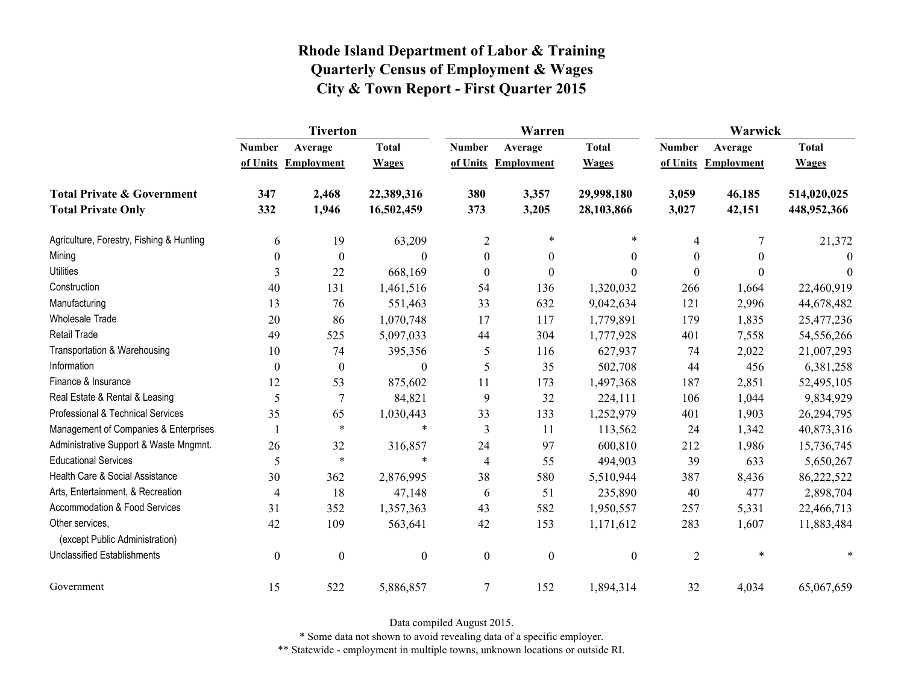|                                                   | <b>Tiverton</b>  |                     |                  |                  | Warren              |                  | Warwick        |                     |              |
|---------------------------------------------------|------------------|---------------------|------------------|------------------|---------------------|------------------|----------------|---------------------|--------------|
|                                                   | <b>Number</b>    | Average             | <b>Total</b>     | <b>Number</b>    | Average             | <b>Total</b>     | <b>Number</b>  | Average             | <b>Total</b> |
|                                                   |                  | of Units Employment | <b>Wages</b>     |                  | of Units Employment | <b>Wages</b>     |                | of Units Employment | <b>Wages</b> |
| <b>Total Private &amp; Government</b>             | 347              | 2,468               | 22,389,316       | 380              | 3,357               | 29,998,180       | 3,059          | 46,185              | 514,020,025  |
| <b>Total Private Only</b>                         | 332              | 1,946               | 16,502,459       | 373              | 3,205               | 28,103,866       | 3,027          | 42,151              | 448,952,366  |
| Agriculture, Forestry, Fishing & Hunting          | 6                | 19                  | 63,209           | $\overline{2}$   | $\ast$              | $\ast$           | 4              |                     | 21,372       |
| Mining                                            | $\theta$         | $\boldsymbol{0}$    | $\Omega$         | $\overline{0}$   | $\mathbf{0}$        | $\theta$         | 0              | $\theta$            | $\Omega$     |
| <b>Utilities</b>                                  | 3                | 22                  | 668,169          | $\boldsymbol{0}$ | $\boldsymbol{0}$    | $\theta$         | $\Omega$       | $\theta$            | $\theta$     |
| Construction                                      | 40               | 131                 | 1,461,516        | 54               | 136                 | 1,320,032        | 266            | 1,664               | 22,460,919   |
| Manufacturing                                     | 13               | 76                  | 551,463          | 33               | 632                 | 9,042,634        | 121            | 2,996               | 44,678,482   |
| <b>Wholesale Trade</b>                            | 20               | 86                  | 1,070,748        | 17               | 117                 | 1,779,891        | 179            | 1,835               | 25,477,236   |
| <b>Retail Trade</b>                               | 49               | 525                 | 5,097,033        | 44               | 304                 | 1,777,928        | 401            | 7,558               | 54,556,266   |
| Transportation & Warehousing                      | 10               | 74                  | 395,356          | 5                | 116                 | 627,937          | 74             | 2,022               | 21,007,293   |
| Information                                       | $\boldsymbol{0}$ | $\boldsymbol{0}$    | $\theta$         | 5                | 35                  | 502,708          | 44             | 456                 | 6,381,258    |
| Finance & Insurance                               | 12               | 53                  | 875,602          | 11               | 173                 | 1,497,368        | 187            | 2,851               | 52,495,105   |
| Real Estate & Rental & Leasing                    | 5                | 7                   | 84,821           | 9                | 32                  | 224,111          | 106            | 1,044               | 9,834,929    |
| Professional & Technical Services                 | 35               | 65                  | 1,030,443        | 33               | 133                 | 1,252,979        | 401            | 1,903               | 26,294,795   |
| Management of Companies & Enterprises             |                  | $\ast$              | $\ast$           | 3                | 11                  | 113,562          | 24             | 1,342               | 40,873,316   |
| Administrative Support & Waste Mngmnt.            | 26               | 32                  | 316,857          | 24               | 97                  | 600,810          | 212            | 1,986               | 15,736,745   |
| <b>Educational Services</b>                       | 5                | $\ast$              | $\ast$           | $\overline{4}$   | 55                  | 494,903          | 39             | 633                 | 5,650,267    |
| Health Care & Social Assistance                   | 30               | 362                 | 2,876,995        | 38               | 580                 | 5,510,944        | 387            | 8,436               | 86,222,522   |
| Arts, Entertainment, & Recreation                 | $\overline{4}$   | 18                  | 47,148           | 6                | 51                  | 235,890          | 40             | 477                 | 2,898,704    |
| Accommodation & Food Services                     | 31               | 352                 | 1,357,363        | 43               | 582                 | 1,950,557        | 257            | 5,331               | 22,466,713   |
| Other services,<br>(except Public Administration) | 42               | 109                 | 563,641          | 42               | 153                 | 1,171,612        | 283            | 1,607               | 11,883,484   |
| <b>Unclassified Establishments</b>                | $\boldsymbol{0}$ | $\boldsymbol{0}$    | $\boldsymbol{0}$ | $\boldsymbol{0}$ | $\boldsymbol{0}$    | $\boldsymbol{0}$ | $\overline{2}$ | $\ast$              | $\ast$       |
| Government                                        | 15               | 522                 | 5,886,857        | $\tau$           | 152                 | 1,894,314        | 32             | 4,034               | 65,067,659   |

Data compiled August 2015.

\* Some data not shown to avoid revealing data of a specific employer.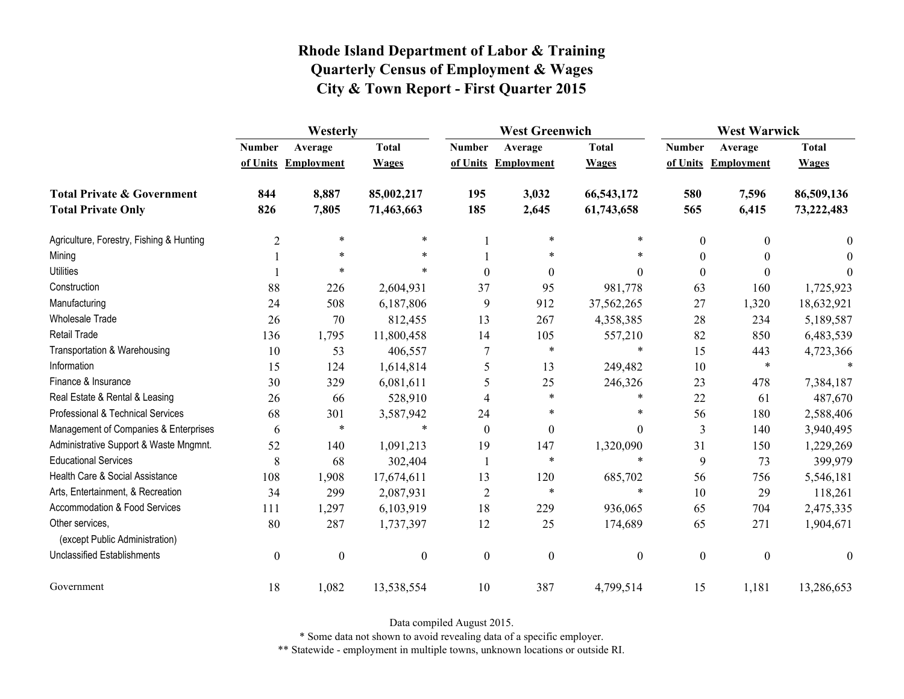|                                                   | Westerly         |                     |                  | <b>West Greenwich</b> |                     |                  | <b>West Warwick</b> |                     |              |
|---------------------------------------------------|------------------|---------------------|------------------|-----------------------|---------------------|------------------|---------------------|---------------------|--------------|
|                                                   | <b>Number</b>    | Average             | <b>Total</b>     | <b>Number</b>         | Average             | <b>Total</b>     | <b>Number</b>       | Average             | <b>Total</b> |
|                                                   |                  | of Units Employment | <b>Wages</b>     |                       | of Units Employment | <b>Wages</b>     |                     | of Units Employment | <b>Wages</b> |
| <b>Total Private &amp; Government</b>             | 844              | 8,887               | 85,002,217       | 195                   | 3,032               | 66,543,172       | 580                 | 7,596               | 86,509,136   |
| <b>Total Private Only</b>                         | 826              | 7,805               | 71,463,663       | 185                   | 2,645               | 61,743,658       | 565                 | 6,415               | 73,222,483   |
| Agriculture, Forestry, Fishing & Hunting          | $\overline{2}$   | $\ast$              | $\ast$           |                       | $\ast$              | $\ast$           | $\boldsymbol{0}$    | $\Omega$            | $\theta$     |
| Mining                                            |                  | $\ast$              | $\ast$           |                       | $\ast$              | *                | $\boldsymbol{0}$    |                     | $\Omega$     |
| <b>Utilities</b>                                  |                  | $\ast$              | $\ast$           | $\theta$              | $\mathbf{0}$        | $\theta$         | $\boldsymbol{0}$    | $\theta$            | $\theta$     |
| Construction                                      | 88               | 226                 | 2,604,931        | 37                    | 95                  | 981,778          | 63                  | 160                 | 1,725,923    |
| Manufacturing                                     | 24               | 508                 | 6,187,806        | 9                     | 912                 | 37,562,265       | 27                  | 1,320               | 18,632,921   |
| <b>Wholesale Trade</b>                            | 26               | 70                  | 812,455          | 13                    | 267                 | 4,358,385        | 28                  | 234                 | 5,189,587    |
| <b>Retail Trade</b>                               | 136              | 1,795               | 11,800,458       | 14                    | 105                 | 557,210          | 82                  | 850                 | 6,483,539    |
| Transportation & Warehousing                      | 10               | 53                  | 406,557          | $\tau$                | $\ast$              | $\ast$           | 15                  | 443                 | 4,723,366    |
| Information                                       | 15               | 124                 | 1,614,814        | 5                     | 13                  | 249,482          | 10                  | $\ast$              |              |
| Finance & Insurance                               | 30               | 329                 | 6,081,611        | 5                     | 25                  | 246,326          | 23                  | 478                 | 7,384,187    |
| Real Estate & Rental & Leasing                    | 26               | 66                  | 528,910          | 4                     | $\ast$              | $\ast$           | 22                  | 61                  | 487,670      |
| Professional & Technical Services                 | 68               | 301                 | 3,587,942        | 24                    | *                   | $\ast$           | 56                  | 180                 | 2,588,406    |
| Management of Companies & Enterprises             | 6                | $\ast$              | $\ast$           | $\mathbf{0}$          | $\mathbf{0}$        | $\theta$         | 3                   | 140                 | 3,940,495    |
| Administrative Support & Waste Mngmnt.            | 52               | 140                 | 1,091,213        | 19                    | 147                 | 1,320,090        | 31                  | 150                 | 1,229,269    |
| <b>Educational Services</b>                       | 8                | 68                  | 302,404          |                       | $\ast$              | $\ast$           | 9                   | 73                  | 399,979      |
| Health Care & Social Assistance                   | 108              | 1,908               | 17,674,611       | 13                    | 120                 | 685,702          | 56                  | 756                 | 5,546,181    |
| Arts, Entertainment, & Recreation                 | 34               | 299                 | 2,087,931        | $\overline{2}$        | $\ast$              | $\ast$           | 10                  | 29                  | 118,261      |
| Accommodation & Food Services                     | 111              | 1,297               | 6,103,919        | 18                    | 229                 | 936,065          | 65                  | 704                 | 2,475,335    |
| Other services,<br>(except Public Administration) | 80               | 287                 | 1,737,397        | 12                    | 25                  | 174,689          | 65                  | 271                 | 1,904,671    |
| <b>Unclassified Establishments</b>                | $\boldsymbol{0}$ | $\boldsymbol{0}$    | $\boldsymbol{0}$ | $\boldsymbol{0}$      | $\boldsymbol{0}$    | $\boldsymbol{0}$ | $\boldsymbol{0}$    | $\boldsymbol{0}$    | $\theta$     |
| Government                                        | 18               | 1,082               | 13,538,554       | 10                    | 387                 | 4,799,514        | 15                  | 1,181               | 13,286,653   |

Data compiled August 2015.

\* Some data not shown to avoid revealing data of a specific employer.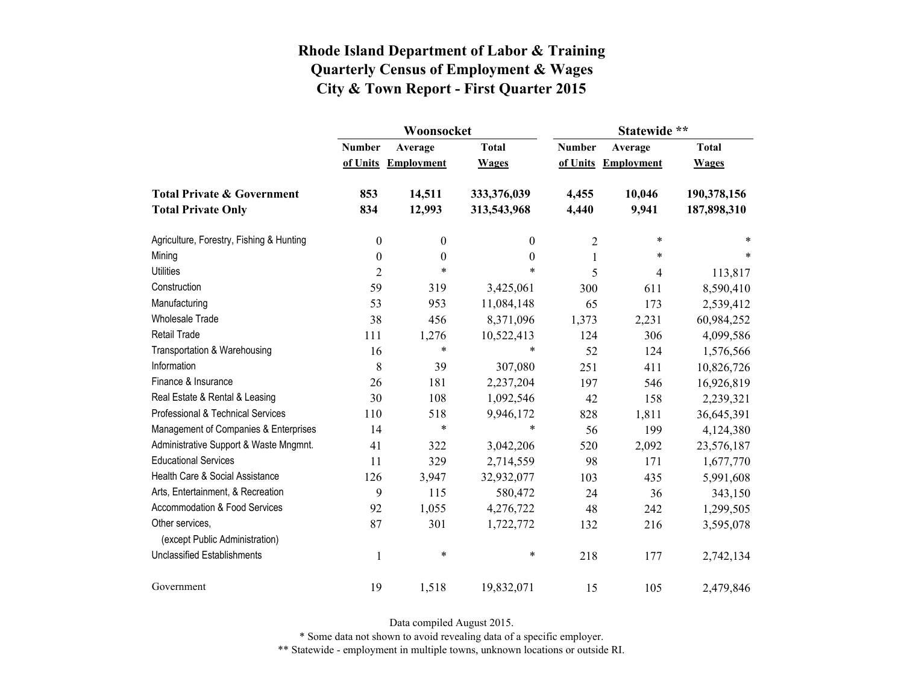|                                                   |                  | Woonsocket        |                  | Statewide **  |                   |              |  |
|---------------------------------------------------|------------------|-------------------|------------------|---------------|-------------------|--------------|--|
|                                                   | <b>Number</b>    | Average           | <b>Total</b>     | <b>Number</b> | Average           | <b>Total</b> |  |
|                                                   | of Units         | <b>Employment</b> | <b>Wages</b>     | of Units      | <b>Employment</b> | <b>Wages</b> |  |
| <b>Total Private &amp; Government</b>             | 853              | 14,511            | 333,376,039      | 4,455         | 10,046            | 190,378,156  |  |
| <b>Total Private Only</b>                         | 834              | 12,993            | 313,543,968      | 4,440         | 9,941             | 187,898,310  |  |
| Agriculture, Forestry, Fishing & Hunting          | $\boldsymbol{0}$ | $\boldsymbol{0}$  | 0                | 2             | $\ast$            | *            |  |
| Mining                                            | $\boldsymbol{0}$ | $\boldsymbol{0}$  | $\boldsymbol{0}$ | 1             | $\ast$            | $\ast$       |  |
| <b>Utilities</b>                                  | $\overline{2}$   | $\ast$            | $\ast$           | 5             | 4                 | 113,817      |  |
| Construction                                      | 59               | 319               | 3,425,061        | 300           | 611               | 8,590,410    |  |
| Manufacturing                                     | 53               | 953               | 11,084,148       | 65            | 173               | 2,539,412    |  |
| <b>Wholesale Trade</b>                            | 38               | 456               | 8,371,096        | 1,373         | 2,231             | 60,984,252   |  |
| Retail Trade                                      | 111              | 1,276             | 10,522,413       | 124           | 306               | 4,099,586    |  |
| Transportation & Warehousing                      | 16               | $\ast$            | *                | 52            | 124               | 1,576,566    |  |
| Information                                       | 8                | 39                | 307,080          | 251           | 411               | 10,826,726   |  |
| Finance & Insurance                               | 26               | 181               | 2,237,204        | 197           | 546               | 16,926,819   |  |
| Real Estate & Rental & Leasing                    | 30               | 108               | 1,092,546        | 42            | 158               | 2,239,321    |  |
| Professional & Technical Services                 | 110              | 518               | 9,946,172        | 828           | 1,811             | 36,645,391   |  |
| Management of Companies & Enterprises             | 14               | $\ast$            | $\ast$           | 56            | 199               | 4,124,380    |  |
| Administrative Support & Waste Mngmnt.            | 41               | 322               | 3,042,206        | 520           | 2,092             | 23,576,187   |  |
| <b>Educational Services</b>                       | 11               | 329               | 2,714,559        | 98            | 171               | 1,677,770    |  |
| Health Care & Social Assistance                   | 126              | 3,947             | 32,932,077       | 103           | 435               | 5,991,608    |  |
| Arts, Entertainment, & Recreation                 | 9                | 115               | 580,472          | 24            | 36                | 343,150      |  |
| Accommodation & Food Services                     | 92               | 1,055             | 4,276,722        | 48            | 242               | 1,299,505    |  |
| Other services,<br>(except Public Administration) | 87               | 301               | 1,722,772        | 132           | 216               | 3,595,078    |  |
| <b>Unclassified Establishments</b>                | $\mathbf 1$      | $\ast$            | $\ast$           | 218           | 177               | 2,742,134    |  |
| Government                                        | 19               | 1,518             | 19,832,071       | 15            | 105               | 2,479,846    |  |

Data compiled August 2015.

\* Some data not shown to avoid revealing data of a specific employer.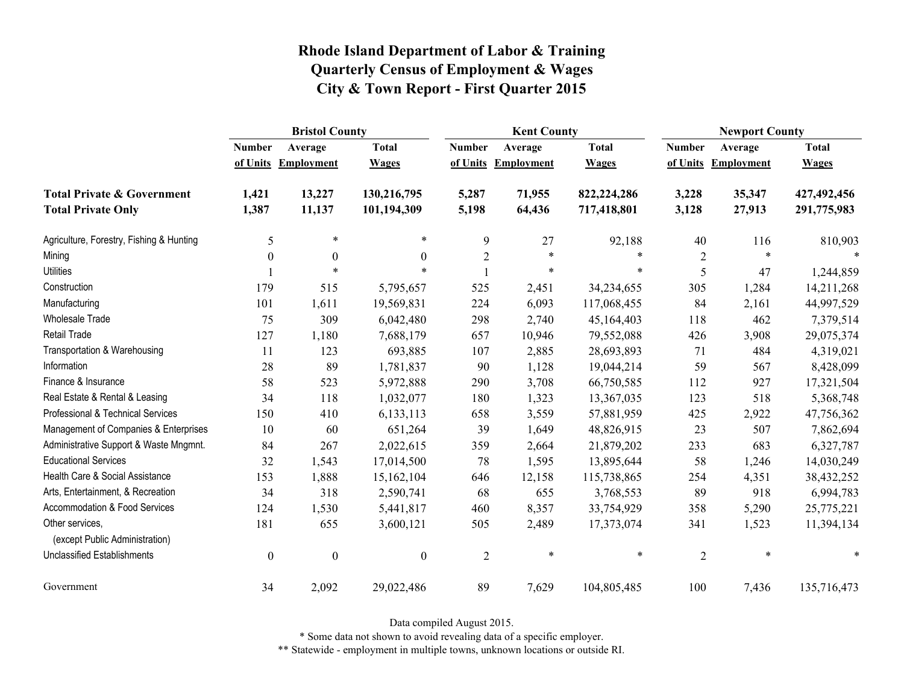|                                                   | <b>Bristol County</b> |                   |                  |                | <b>Kent County</b> |              |                | <b>Newport County</b> |              |  |
|---------------------------------------------------|-----------------------|-------------------|------------------|----------------|--------------------|--------------|----------------|-----------------------|--------------|--|
|                                                   | <b>Number</b>         | Average           | <b>Total</b>     | <b>Number</b>  | Average            | <b>Total</b> | <b>Number</b>  | Average               | <b>Total</b> |  |
|                                                   | of Units              | <b>Employment</b> | <b>Wages</b>     | of Units       | <b>Employment</b>  | <b>Wages</b> | of Units       | <b>Employment</b>     | <b>Wages</b> |  |
| <b>Total Private &amp; Government</b>             | 1,421                 | 13,227            | 130,216,795      | 5,287          | 71,955             | 822,224,286  | 3,228          | 35,347                | 427,492,456  |  |
| <b>Total Private Only</b>                         | 1,387                 | 11,137            | 101,194,309      | 5,198          | 64,436             | 717,418,801  | 3,128          | 27,913                | 291,775,983  |  |
| Agriculture, Forestry, Fishing & Hunting          | 5                     | $\ast$            | $\ast$           | 9              | 27                 | 92,188       | 40             | 116                   | 810,903      |  |
| Mining                                            | $\mathbf{0}$          | $\boldsymbol{0}$  | $\boldsymbol{0}$ | $\overline{c}$ | $\ast$             | $\ast$       | $\overline{c}$ | $\ast$                |              |  |
| <b>Utilities</b>                                  |                       | $\ast$            | $\ast$           |                | $\ast$             | *            | 5              | 47                    | 1,244,859    |  |
| Construction                                      | 179                   | 515               | 5,795,657        | 525            | 2,451              | 34,234,655   | 305            | 1,284                 | 14,211,268   |  |
| Manufacturing                                     | 101                   | 1,611             | 19,569,831       | 224            | 6,093              | 117,068,455  | 84             | 2,161                 | 44,997,529   |  |
| Wholesale Trade                                   | 75                    | 309               | 6,042,480        | 298            | 2,740              | 45,164,403   | 118            | 462                   | 7,379,514    |  |
| <b>Retail Trade</b>                               | 127                   | 1,180             | 7,688,179        | 657            | 10,946             | 79,552,088   | 426            | 3,908                 | 29,075,374   |  |
| Transportation & Warehousing                      | 11                    | 123               | 693,885          | 107            | 2,885              | 28,693,893   | 71             | 484                   | 4,319,021    |  |
| Information                                       | 28                    | 89                | 1,781,837        | 90             | 1,128              | 19,044,214   | 59             | 567                   | 8,428,099    |  |
| Finance & Insurance                               | 58                    | 523               | 5,972,888        | 290            | 3,708              | 66,750,585   | 112            | 927                   | 17,321,504   |  |
| Real Estate & Rental & Leasing                    | 34                    | 118               | 1,032,077        | 180            | 1,323              | 13,367,035   | 123            | 518                   | 5,368,748    |  |
| Professional & Technical Services                 | 150                   | 410               | 6,133,113        | 658            | 3,559              | 57,881,959   | 425            | 2,922                 | 47,756,362   |  |
| Management of Companies & Enterprises             | 10                    | 60                | 651,264          | 39             | 1,649              | 48,826,915   | 23             | 507                   | 7,862,694    |  |
| Administrative Support & Waste Mngmnt.            | 84                    | 267               | 2,022,615        | 359            | 2,664              | 21,879,202   | 233            | 683                   | 6,327,787    |  |
| <b>Educational Services</b>                       | 32                    | 1,543             | 17,014,500       | 78             | 1,595              | 13,895,644   | 58             | 1,246                 | 14,030,249   |  |
| Health Care & Social Assistance                   | 153                   | 1,888             | 15,162,104       | 646            | 12,158             | 115,738,865  | 254            | 4,351                 | 38,432,252   |  |
| Arts, Entertainment, & Recreation                 | 34                    | 318               | 2,590,741        | 68             | 655                | 3,768,553    | 89             | 918                   | 6,994,783    |  |
| Accommodation & Food Services                     | 124                   | 1,530             | 5,441,817        | 460            | 8,357              | 33,754,929   | 358            | 5,290                 | 25,775,221   |  |
| Other services,<br>(except Public Administration) | 181                   | 655               | 3,600,121        | 505            | 2,489              | 17,373,074   | 341            | 1,523                 | 11,394,134   |  |
| <b>Unclassified Establishments</b>                | $\boldsymbol{0}$      | $\boldsymbol{0}$  | $\boldsymbol{0}$ | $\overline{c}$ | $\ast$             | $\ast$       | $\overline{2}$ | $\ast$                | *            |  |
| Government                                        | 34                    | 2,092             | 29,022,486       | 89             | 7,629              | 104,805,485  | 100            | 7,436                 | 135,716,473  |  |

Data compiled August 2015.

\* Some data not shown to avoid revealing data of a specific employer.